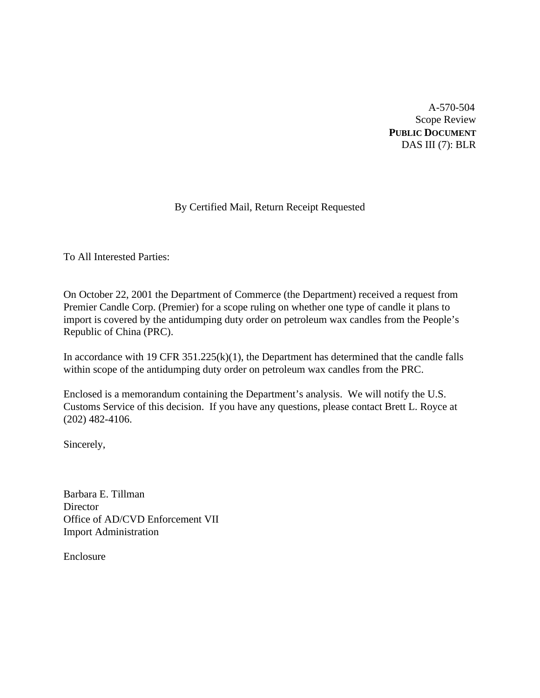A-570-504 Scope Review **PUBLIC DOCUMENT** DAS III (7): BLR

# By Certified Mail, Return Receipt Requested

To All Interested Parties:

On October 22, 2001 the Department of Commerce (the Department) received a request from Premier Candle Corp. (Premier) for a scope ruling on whether one type of candle it plans to import is covered by the antidumping duty order on petroleum wax candles from the People's Republic of China (PRC).

In accordance with 19 CFR  $351.225(k)(1)$ , the Department has determined that the candle falls within scope of the antidumping duty order on petroleum wax candles from the PRC.

Enclosed is a memorandum containing the Department's analysis. We will notify the U.S. Customs Service of this decision. If you have any questions, please contact Brett L. Royce at (202) 482-4106.

Sincerely,

Barbara E. Tillman **Director** Office of AD/CVD Enforcement VII Import Administration

Enclosure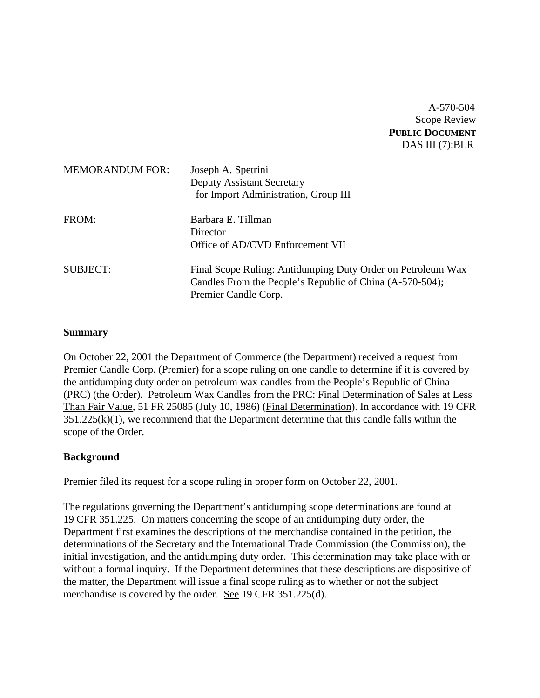A-570-504 Scope Review **PUBLIC DOCUMENT** DAS III (7):BLR

| <b>MEMORANDUM FOR:</b> | Joseph A. Spetrini<br><b>Deputy Assistant Secretary</b><br>for Import Administration, Group III                                                 |
|------------------------|-------------------------------------------------------------------------------------------------------------------------------------------------|
| FROM:                  | Barbara E. Tillman<br>Director<br>Office of AD/CVD Enforcement VII                                                                              |
| <b>SUBJECT:</b>        | Final Scope Ruling: Antidumping Duty Order on Petroleum Wax<br>Candles From the People's Republic of China (A-570-504);<br>Premier Candle Corp. |

#### **Summary**

On October 22, 2001 the Department of Commerce (the Department) received a request from Premier Candle Corp. (Premier) for a scope ruling on one candle to determine if it is covered by the antidumping duty order on petroleum wax candles from the People's Republic of China (PRC) (the Order). Petroleum Wax Candles from the PRC: Final Determination of Sales at Less Than Fair Value, 51 FR 25085 (July 10, 1986) (Final Determination). In accordance with 19 CFR  $351.225(k)(1)$ , we recommend that the Department determine that this candle falls within the scope of the Order.

## **Background**

Premier filed its request for a scope ruling in proper form on October 22, 2001.

The regulations governing the Department's antidumping scope determinations are found at 19 CFR 351.225. On matters concerning the scope of an antidumping duty order, the Department first examines the descriptions of the merchandise contained in the petition, the determinations of the Secretary and the International Trade Commission (the Commission), the initial investigation, and the antidumping duty order. This determination may take place with or without a formal inquiry. If the Department determines that these descriptions are dispositive of the matter, the Department will issue a final scope ruling as to whether or not the subject merchandise is covered by the order. See 19 CFR 351.225(d).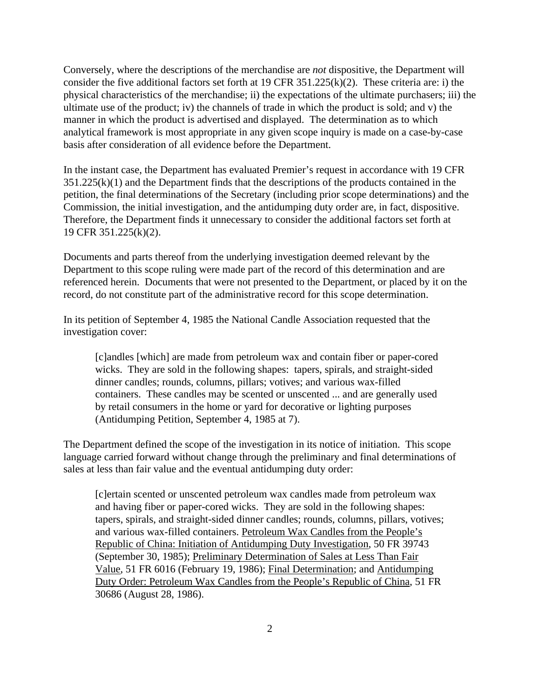Conversely, where the descriptions of the merchandise are *not* dispositive, the Department will consider the five additional factors set forth at 19 CFR 351.225(k)(2). These criteria are: i) the physical characteristics of the merchandise; ii) the expectations of the ultimate purchasers; iii) the ultimate use of the product; iv) the channels of trade in which the product is sold; and v) the manner in which the product is advertised and displayed. The determination as to which analytical framework is most appropriate in any given scope inquiry is made on a case-by-case basis after consideration of all evidence before the Department.

In the instant case, the Department has evaluated Premier's request in accordance with 19 CFR  $351.225(k)(1)$  and the Department finds that the descriptions of the products contained in the petition, the final determinations of the Secretary (including prior scope determinations) and the Commission, the initial investigation, and the antidumping duty order are, in fact, dispositive. Therefore, the Department finds it unnecessary to consider the additional factors set forth at 19 CFR 351.225(k)(2).

Documents and parts thereof from the underlying investigation deemed relevant by the Department to this scope ruling were made part of the record of this determination and are referenced herein. Documents that were not presented to the Department, or placed by it on the record, do not constitute part of the administrative record for this scope determination.

In its petition of September 4, 1985 the National Candle Association requested that the investigation cover:

[c]andles [which] are made from petroleum wax and contain fiber or paper-cored wicks. They are sold in the following shapes: tapers, spirals, and straight-sided dinner candles; rounds, columns, pillars; votives; and various wax-filled containers. These candles may be scented or unscented ... and are generally used by retail consumers in the home or yard for decorative or lighting purposes (Antidumping Petition, September 4, 1985 at 7).

The Department defined the scope of the investigation in its notice of initiation. This scope language carried forward without change through the preliminary and final determinations of sales at less than fair value and the eventual antidumping duty order:

[c]ertain scented or unscented petroleum wax candles made from petroleum wax and having fiber or paper-cored wicks. They are sold in the following shapes: tapers, spirals, and straight-sided dinner candles; rounds, columns, pillars, votives; and various wax-filled containers. Petroleum Wax Candles from the People's Republic of China: Initiation of Antidumping Duty Investigation, 50 FR 39743 (September 30, 1985); Preliminary Determination of Sales at Less Than Fair Value, 51 FR 6016 (February 19, 1986); Final Determination; and Antidumping Duty Order: Petroleum Wax Candles from the People's Republic of China, 51 FR 30686 (August 28, 1986).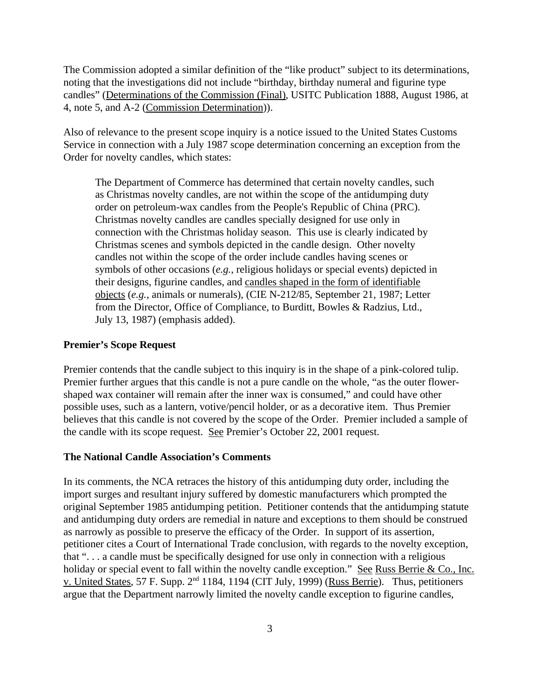The Commission adopted a similar definition of the "like product" subject to its determinations, noting that the investigations did not include "birthday, birthday numeral and figurine type candles" (Determinations of the Commission (Final), USITC Publication 1888, August 1986, at 4, note 5, and A-2 (Commission Determination)).

Also of relevance to the present scope inquiry is a notice issued to the United States Customs Service in connection with a July 1987 scope determination concerning an exception from the Order for novelty candles, which states:

The Department of Commerce has determined that certain novelty candles, such as Christmas novelty candles, are not within the scope of the antidumping duty order on petroleum-wax candles from the People's Republic of China (PRC). Christmas novelty candles are candles specially designed for use only in connection with the Christmas holiday season. This use is clearly indicated by Christmas scenes and symbols depicted in the candle design. Other novelty candles not within the scope of the order include candles having scenes or symbols of other occasions (*e.g.*, religious holidays or special events) depicted in their designs, figurine candles, and candles shaped in the form of identifiable objects (*e.g.*, animals or numerals), (CIE N-212/85, September 21, 1987; Letter from the Director, Office of Compliance, to Burditt, Bowles & Radzius, Ltd., July 13, 1987) (emphasis added).

#### **Premier's Scope Request**

Premier contends that the candle subject to this inquiry is in the shape of a pink-colored tulip. Premier further argues that this candle is not a pure candle on the whole, "as the outer flowershaped wax container will remain after the inner wax is consumed," and could have other possible uses, such as a lantern, votive/pencil holder, or as a decorative item. Thus Premier believes that this candle is not covered by the scope of the Order. Premier included a sample of the candle with its scope request. See Premier's October 22, 2001 request.

### **The National Candle Association's Comments**

In its comments, the NCA retraces the history of this antidumping duty order, including the import surges and resultant injury suffered by domestic manufacturers which prompted the original September 1985 antidumping petition. Petitioner contends that the antidumping statute and antidumping duty orders are remedial in nature and exceptions to them should be construed as narrowly as possible to preserve the efficacy of the Order. In support of its assertion, petitioner cites a Court of International Trade conclusion, with regards to the novelty exception, that ". . . a candle must be specifically designed for use only in connection with a religious holiday or special event to fall within the novelty candle exception." See Russ Berrie & Co., Inc. v. United States, 57 F. Supp. 2<sup>nd</sup> 1184, 1194 (CIT July, 1999) (Russ Berrie). Thus, petitioners argue that the Department narrowly limited the novelty candle exception to figurine candles,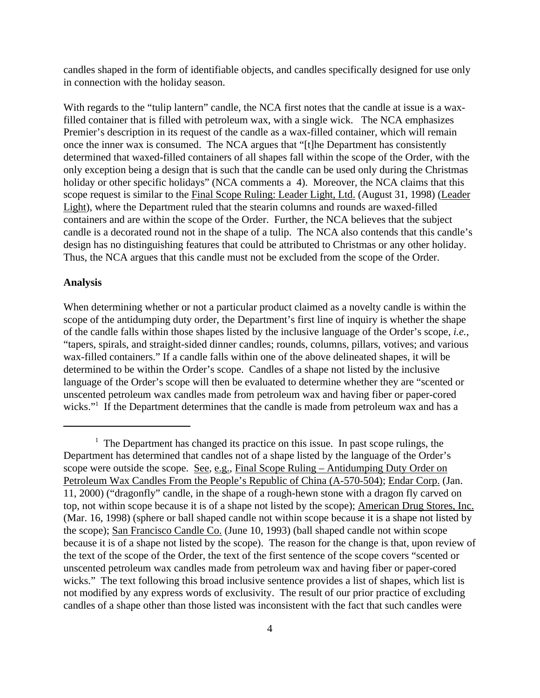candles shaped in the form of identifiable objects, and candles specifically designed for use only in connection with the holiday season.

With regards to the "tulip lantern" candle, the NCA first notes that the candle at issue is a waxfilled container that is filled with petroleum wax, with a single wick. The NCA emphasizes Premier's description in its request of the candle as a wax-filled container, which will remain once the inner wax is consumed. The NCA argues that "[t]he Department has consistently determined that waxed-filled containers of all shapes fall within the scope of the Order, with the only exception being a design that is such that the candle can be used only during the Christmas holiday or other specific holidays" (NCA comments a 4). Moreover, the NCA claims that this scope request is similar to the Final Scope Ruling: Leader Light, Ltd. (August 31, 1998) (Leader Light), where the Department ruled that the stearin columns and rounds are waxed-filled containers and are within the scope of the Order. Further, the NCA believes that the subject candle is a decorated round not in the shape of a tulip. The NCA also contends that this candle's design has no distinguishing features that could be attributed to Christmas or any other holiday. Thus, the NCA argues that this candle must not be excluded from the scope of the Order.

#### **Analysis**

When determining whether or not a particular product claimed as a novelty candle is within the scope of the antidumping duty order, the Department's first line of inquiry is whether the shape of the candle falls within those shapes listed by the inclusive language of the Order's scope, *i.e.*, "tapers, spirals, and straight-sided dinner candles; rounds, columns, pillars, votives; and various wax-filled containers." If a candle falls within one of the above delineated shapes, it will be determined to be within the Order's scope. Candles of a shape not listed by the inclusive language of the Order's scope will then be evaluated to determine whether they are "scented or unscented petroleum wax candles made from petroleum wax and having fiber or paper-cored wicks."<sup>1</sup> If the Department determines that the candle is made from petroleum wax and has a

 $<sup>1</sup>$  The Department has changed its practice on this issue. In past scope rulings, the</sup> Department has determined that candles not of a shape listed by the language of the Order's scope were outside the scope. See, e.g., Final Scope Ruling – Antidumping Duty Order on Petroleum Wax Candles From the People's Republic of China (A-570-504); Endar Corp. (Jan. 11, 2000) ("dragonfly" candle, in the shape of a rough-hewn stone with a dragon fly carved on top, not within scope because it is of a shape not listed by the scope); American Drug Stores, Inc. (Mar. 16, 1998) (sphere or ball shaped candle not within scope because it is a shape not listed by the scope); San Francisco Candle Co. (June 10, 1993) (ball shaped candle not within scope because it is of a shape not listed by the scope). The reason for the change is that, upon review of the text of the scope of the Order, the text of the first sentence of the scope covers "scented or unscented petroleum wax candles made from petroleum wax and having fiber or paper-cored wicks." The text following this broad inclusive sentence provides a list of shapes, which list is not modified by any express words of exclusivity. The result of our prior practice of excluding candles of a shape other than those listed was inconsistent with the fact that such candles were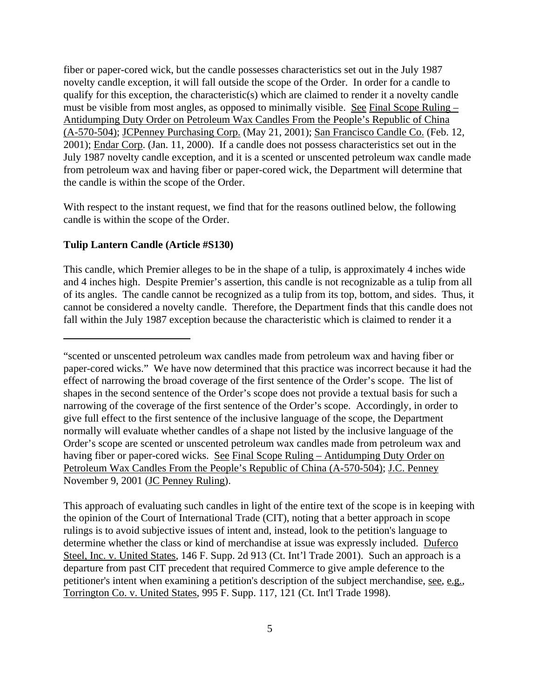fiber or paper-cored wick, but the candle possesses characteristics set out in the July 1987 novelty candle exception, it will fall outside the scope of the Order. In order for a candle to qualify for this exception, the characteristic(s) which are claimed to render it a novelty candle must be visible from most angles, as opposed to minimally visible. See Final Scope Ruling – Antidumping Duty Order on Petroleum Wax Candles From the People's Republic of China (A-570-504); JCPenney Purchasing Corp. (May 21, 2001); San Francisco Candle Co. (Feb. 12, 2001); Endar Corp. (Jan. 11, 2000). If a candle does not possess characteristics set out in the July 1987 novelty candle exception, and it is a scented or unscented petroleum wax candle made from petroleum wax and having fiber or paper-cored wick, the Department will determine that the candle is within the scope of the Order.

With respect to the instant request, we find that for the reasons outlined below, the following candle is within the scope of the Order.

#### **Tulip Lantern Candle (Article #S130)**

This candle, which Premier alleges to be in the shape of a tulip, is approximately 4 inches wide and 4 inches high. Despite Premier's assertion, this candle is not recognizable as a tulip from all of its angles. The candle cannot be recognized as a tulip from its top, bottom, and sides. Thus, it cannot be considered a novelty candle. Therefore, the Department finds that this candle does not fall within the July 1987 exception because the characteristic which is claimed to render it a

This approach of evaluating such candles in light of the entire text of the scope is in keeping with the opinion of the Court of International Trade (CIT), noting that a better approach in scope rulings is to avoid subjective issues of intent and, instead, look to the petition's language to determine whether the class or kind of merchandise at issue was expressly included. Duferco Steel, Inc. v. United States, 146 F. Supp. 2d 913 (Ct. Int'l Trade 2001). Such an approach is a departure from past CIT precedent that required Commerce to give ample deference to the petitioner's intent when examining a petition's description of the subject merchandise, see, e.g., Torrington Co. v. United States, 995 F. Supp. 117, 121 (Ct. Int'l Trade 1998).

<sup>&</sup>quot;scented or unscented petroleum wax candles made from petroleum wax and having fiber or paper-cored wicks." We have now determined that this practice was incorrect because it had the effect of narrowing the broad coverage of the first sentence of the Order's scope. The list of shapes in the second sentence of the Order's scope does not provide a textual basis for such a narrowing of the coverage of the first sentence of the Order's scope. Accordingly, in order to give full effect to the first sentence of the inclusive language of the scope, the Department normally will evaluate whether candles of a shape not listed by the inclusive language of the Order's scope are scented or unscented petroleum wax candles made from petroleum wax and having fiber or paper-cored wicks. See Final Scope Ruling – Antidumping Duty Order on Petroleum Wax Candles From the People's Republic of China (A-570-504); J.C. Penney November 9, 2001 (JC Penney Ruling).